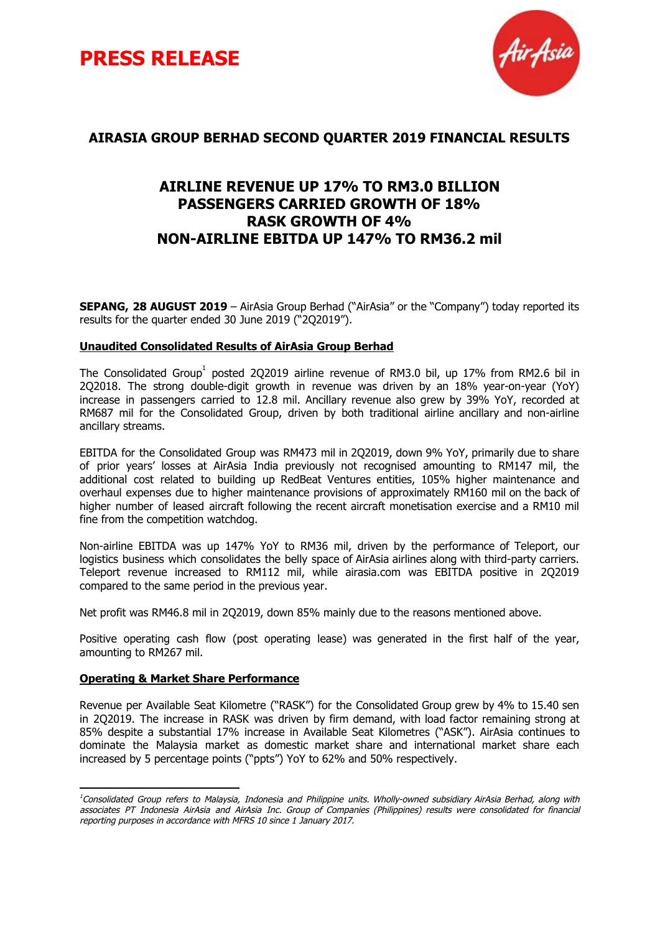



# **AIRASIA GROUP BERHAD SECOND QUARTER 2019 FINANCIAL RESULTS**

# **AIRLINE REVENUE UP 17% TO RM3.0 BILLION PASSENGERS CARRIED GROWTH OF 18% RASK GROWTH OF 4% NON-AIRLINE EBITDA UP 147% TO RM36.2 mil**

**SEPANG, 28 AUGUST 2019** – AirAsia Group Berhad ("AirAsia" or the "Company") today reported its results for the quarter ended 30 June 2019 ("2Q2019").

# **Unaudited Consolidated Results of AirAsia Group Berhad**

The Consolidated Group<sup>1</sup> posted 2Q2019 airline revenue of RM3.0 bil, up 17% from RM2.6 bil in 2Q2018. The strong double-digit growth in revenue was driven by an 18% year-on-year (YoY) increase in passengers carried to 12.8 mil. Ancillary revenue also grew by 39% YoY, recorded at RM687 mil for the Consolidated Group, driven by both traditional airline ancillary and non-airline ancillary streams.

EBITDA for the Consolidated Group was RM473 mil in 2Q2019, down 9% YoY, primarily due to share of prior years' losses at AirAsia India previously not recognised amounting to RM147 mil, the additional cost related to building up RedBeat Ventures entities, 105% higher maintenance and overhaul expenses due to higher maintenance provisions of approximately RM160 mil on the back of higher number of leased aircraft following the recent aircraft monetisation exercise and a RM10 mil fine from the competition watchdog.

Non-airline EBITDA was up 147% YoY to RM36 mil, driven by the performance of Teleport, our logistics business which consolidates the belly space of AirAsia airlines along with third-party carriers. Teleport revenue increased to RM112 mil, while airasia.com was EBITDA positive in 2Q2019 compared to the same period in the previous year.

Net profit was RM46.8 mil in 2Q2019, down 85% mainly due to the reasons mentioned above.

Positive operating cash flow (post operating lease) was generated in the first half of the year, amounting to RM267 mil.

# **Operating & Market Share Performance**

Revenue per Available Seat Kilometre ("RASK") for the Consolidated Group grew by 4% to 15.40 sen in 2Q2019. The increase in RASK was driven by firm demand, with load factor remaining strong at 85% despite a substantial 17% increase in Available Seat Kilometres ("ASK"). AirAsia continues to dominate the Malaysia market as domestic market share and international market share each increased by 5 percentage points ("ppts") YoY to 62% and 50% respectively.

<sup>&</sup>lt;sup>1</sup>Consolidated Group refers to Malaysia, Indonesia and Philippine units. Wholly-owned subsidiary AirAsia Berhad, along with associates PT Indonesia AirAsia and AirAsia Inc. Group of Companies (Philippines) results were consolidated for financial reporting purposes in accordance with MFRS 10 since 1 January 2017.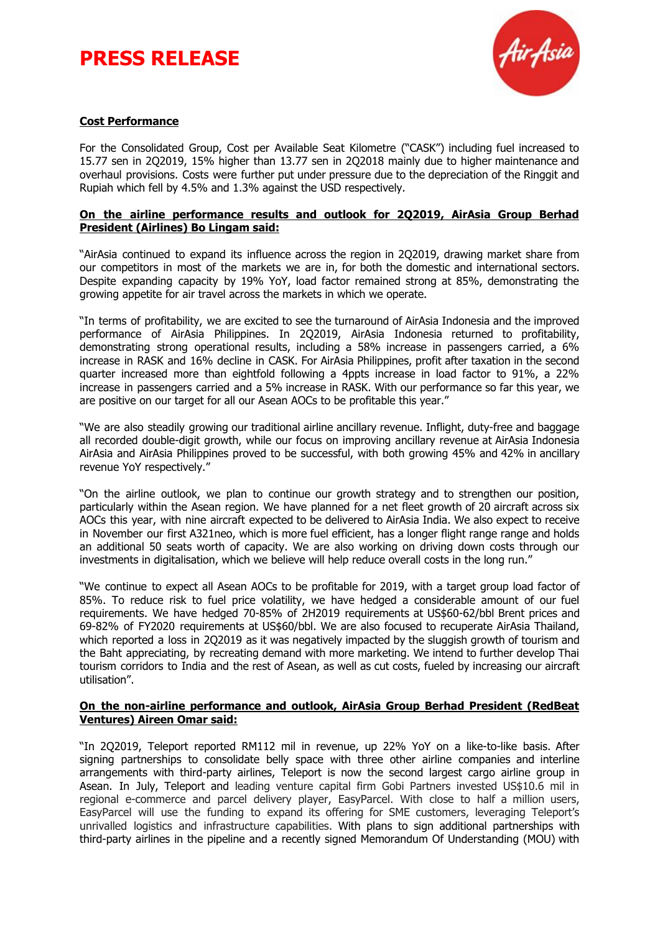# **PRESS RELEASE**



# **Cost Performance**

For the Consolidated Group, Cost per Available Seat Kilometre ("CASK") including fuel increased to 15.77 sen in 2Q2019, 15% higher than 13.77 sen in 2Q2018 mainly due to higher maintenance and overhaul provisions. Costs were further put under pressure due to the depreciation of the Ringgit and Rupiah which fell by 4.5% and 1.3% against the USD respectively.

# **On the airline performance results and outlook for 2Q2019, AirAsia Group Berhad President (Airlines) Bo Lingam said:**

"AirAsia continued to expand its influence across the region in 2Q2019, drawing market share from our competitors in most of the markets we are in, for both the domestic and international sectors. Despite expanding capacity by 19% YoY, load factor remained strong at 85%, demonstrating the growing appetite for air travel across the markets in which we operate.

"In terms of profitability, we are excited to see the turnaround of AirAsia Indonesia and the improved performance of AirAsia Philippines. In 2Q2019, AirAsia Indonesia returned to profitability, demonstrating strong operational results, including a 58% increase in passengers carried, a 6% increase in RASK and 16% decline in CASK. For AirAsia Philippines, profit after taxation in the second quarter increased more than eightfold following a 4ppts increase in load factor to 91%, a 22% increase in passengers carried and a 5% increase in RASK. With our performance so far this year, we are positive on our target for all our Asean AOCs to be profitable this year."

"We are also steadily growing our traditional airline ancillary revenue. Inflight, duty-free and baggage all recorded double-digit growth, while our focus on improving ancillary revenue at AirAsia Indonesia AirAsia and AirAsia Philippines proved to be successful, with both growing 45% and 42% in ancillary revenue YoY respectively."

"On the airline outlook, we plan to continue our growth strategy and to strengthen our position, particularly within the Asean region. We have planned for a net fleet growth of 20 aircraft across six AOCs this year, with nine aircraft expected to be delivered to AirAsia India. We also expect to receive in November our first A321neo, which is more fuel efficient, has a longer flight range range and holds an additional 50 seats worth of capacity. We are also working on driving down costs through our investments in digitalisation, which we believe will help reduce overall costs in the long run."

"We continue to expect all Asean AOCs to be profitable for 2019, with a target group load factor of 85%. To reduce risk to fuel price volatility, we have hedged a considerable amount of our fuel requirements. We have hedged 70-85% of 2H2019 requirements at US\$60-62/bbl Brent prices and 69-82% of FY2020 requirements at US\$60/bbl. We are also focused to recuperate AirAsia Thailand, which reported a loss in 2Q2019 as it was negatively impacted by the sluggish growth of tourism and the Baht appreciating, by recreating demand with more marketing. We intend to further develop Thai tourism corridors to India and the rest of Asean, as well as cut costs, fueled by increasing our aircraft utilisation".

### **On the non-airline performance and outlook, AirAsia Group Berhad President (RedBeat Ventures) Aireen Omar said:**

"In 2Q2019, Teleport reported RM112 mil in revenue, up 22% YoY on a like-to-like basis. After signing partnerships to consolidate belly space with three other airline companies and interline arrangements with third-party airlines, Teleport is now the second largest cargo airline group in Asean. In July, Teleport and leading venture capital firm Gobi Partners invested US\$10.6 mil in regional e-commerce and parcel delivery player, EasyParcel. With close to half a million users, EasyParcel will use the funding to expand its offering for SME customers, leveraging Teleport's unrivalled logistics and infrastructure capabilities. With plans to sign additional partnerships with third-party airlines in the pipeline and a recently signed Memorandum Of Understanding (MOU) with